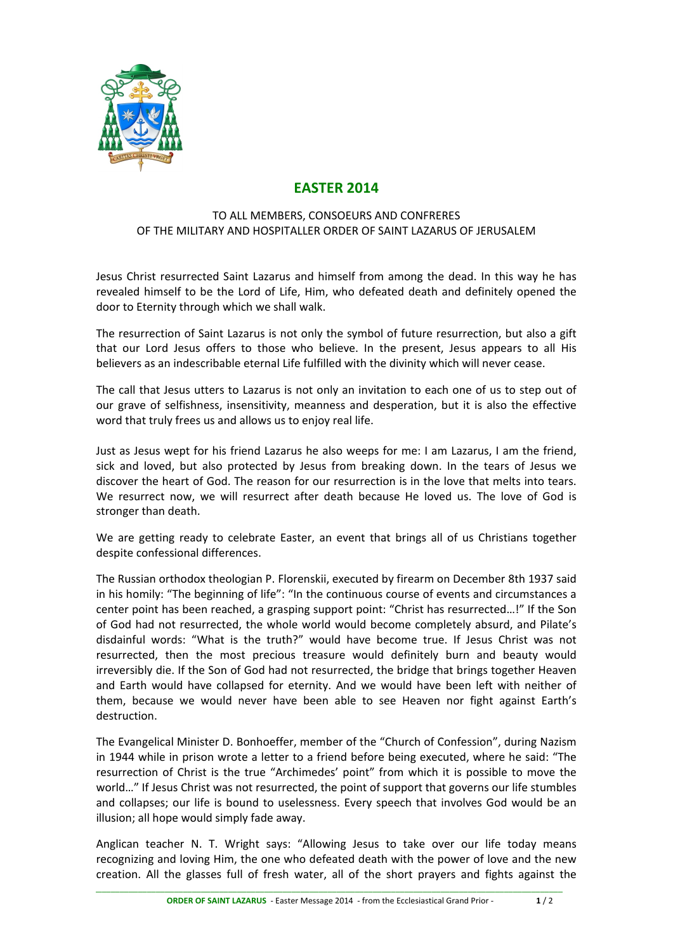

## **EASTER 2014**

## TO ALL MEMBERS, CONSOEURS AND CONFRERES OF THE MILITARY AND HOSPITALLER ORDER OF SAINT LAZARUS OF JERUSALEM

Jesus Christ resurrected Saint Lazarus and himself from among the dead. In this way he has revealed himself to be the Lord of Life, Him, who defeated death and definitely opened the door to Eternity through which we shall walk.

The resurrection of Saint Lazarus is not only the symbol of future resurrection, but also a gift that our Lord Jesus offers to those who believe. In the present, Jesus appears to all His believers as an indescribable eternal Life fulfilled with the divinity which will never cease.

The call that Jesus utters to Lazarus is not only an invitation to each one of us to step out of our grave of selfishness, insensitivity, meanness and desperation, but it is also the effective word that truly frees us and allows us to enjoy real life.

Just as Jesus wept for his friend Lazarus he also weeps for me: I am Lazarus, I am the friend, sick and loved, but also protected by Jesus from breaking down. In the tears of Jesus we discover the heart of God. The reason for our resurrection is in the love that melts into tears. We resurrect now, we will resurrect after death because He loved us. The love of God is stronger than death.

We are getting ready to celebrate Easter, an event that brings all of us Christians together despite confessional differences.

The Russian orthodox theologian P. Florenskii, executed by firearm on December 8th 1937 said in his homily: "The beginning of life": "In the continuous course of events and circumstances a center point has been reached, a grasping support point: "Christ has resurrected...!" If the Son of God had not resurrected, the whole world would become completely absurd, and Pilate's disdainful words: "What is the truth?" would have become true. If Jesus Christ was not resurrected, then the most precious treasure would definitely burn and beauty would irreversibly die. If the Son of God had not resurrected, the bridge that brings together Heaven and Earth would have collapsed for eternity. And we would have been left with neither of them, because we would never have been able to see Heaven nor fight against Earth's destruction.

The Evangelical Minister D. Bonhoeffer, member of the "Church of Confession", during Nazism in 1944 while in prison wrote a letter to a friend before being executed, where he said: "The resurrection of Christ is the true "Archimedes' point" from which it is possible to move the world..." If Jesus Christ was not resurrected, the point of support that governs our life stumbles and collapses; our life is bound to uselessness. Every speech that involves God would be an illusion; all hope would simply fade away.

Anglican teacher N. T. Wright says: "Allowing Jesus to take over our life today means recognizing and loving Him, the one who defeated death with the power of love and the new creation. All the glasses full of fresh water, all of the short prayers and fights against the

\_\_\_\_\_\_\_\_\_\_\_\_\_\_\_\_\_\_\_\_\_\_\_\_\_\_\_\_\_\_\_\_\_\_\_\_\_\_\_\_\_\_\_\_\_\_\_\_\_\_\_\_\_\_\_\_\_\_\_\_\_\_\_\_\_\_\_\_\_\_\_\_\_\_\_\_\_\_\_\_\_\_\_\_\_\_\_\_\_\_\_\_\_\_\_\_\_\_\_\_\_\_\_\_\_\_